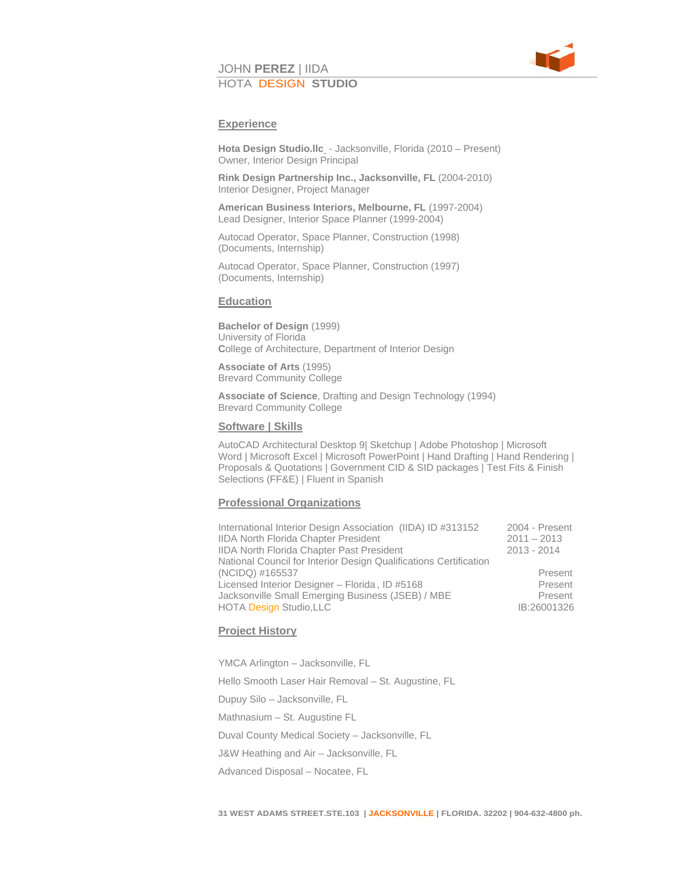

# JOHN **PEREZ** | IIDA HOTA DESIGN **STUDIO**

#### **Experience**

**Hota Design Studio.llc** - Jacksonville, Florida (2010 – Present) Owner, Interior Design Principal

 **Rink Design Partnership Inc., Jacksonville, FL** (2004-2010) Interior Designer, Project Manager

 **American Business Interiors, Melbourne, FL** (1997-2004) Lead Designer, Interior Space Planner (1999-2004)

 Autocad Operator, Space Planner, Construction (1998) (Documents, Internship)

 Autocad Operator, Space Planner, Construction (1997) (Documents, Internship)

#### **Education**

**Bachelor of Design** (1999) University of Florida **C**ollege of Architecture, Department of Interior Design

 **Associate of Arts** (1995) Brevard Community College

 **Associate of Science**, Drafting and Design Technology (1994) Brevard Community College

#### **Software | Skills**

AutoCAD Architectural Desktop 9| Sketchup | Adobe Photoshop | Microsoft Word | Microsoft Excel | Microsoft PowerPoint | Hand Drafting | Hand Rendering | Proposals & Quotations | Government CID & SID packages | Test Fits & Finish Selections (FF&E) | Fluent in Spanish

#### **Professional Organizations**

| International Interior Design Association (IIDA) ID #313152       | 2004 - Present |
|-------------------------------------------------------------------|----------------|
| <b>IIDA North Florida Chapter President</b>                       | $2011 - 2013$  |
| <b>IIDA North Florida Chapter Past President</b>                  | $2013 - 2014$  |
| National Council for Interior Design Qualifications Certification |                |
| (NCIDQ) #165537                                                   | Present        |
| Licensed Interior Designer - Florida, ID #5168                    | Present        |
| Jacksonville Small Emerging Business (JSEB) / MBE                 | Present        |
| HOTA Design Studio, LLC                                           | IB:26001326    |
|                                                                   |                |

#### **Project History**

 YMCA Arlington – Jacksonville, FL Hello Smooth Laser Hair Removal – St. Augustine, FL Dupuy Silo – Jacksonville, FL Mathnasium – St. Augustine FL Duval County Medical Society – Jacksonville, FL J&W Heathing and Air – Jacksonville, FL Advanced Disposal – Nocatee, FL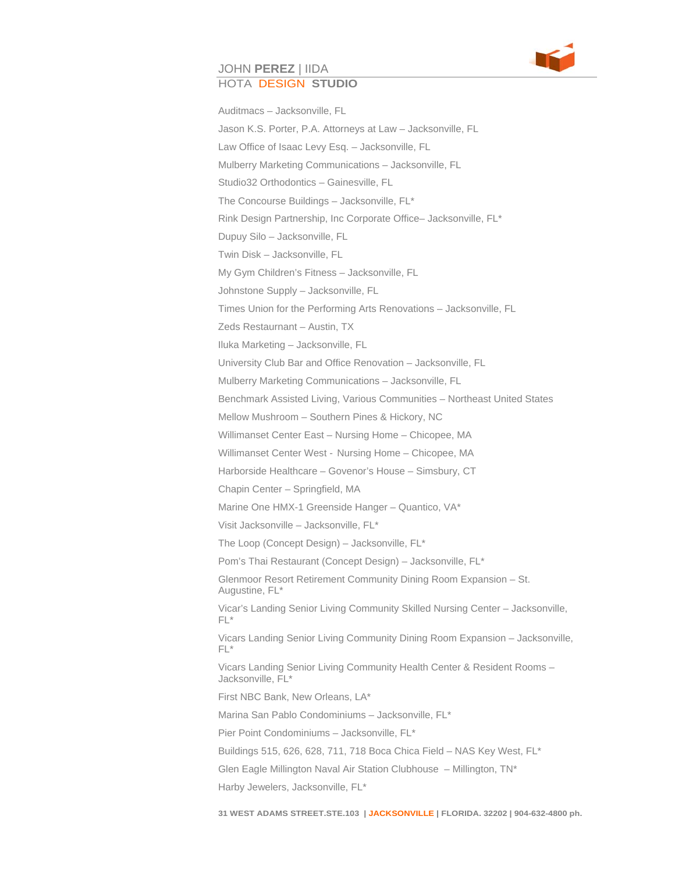

#### JOHN **PEREZ** | IIDA HOTA DESIGN **STUDIO**

Auditmacs – Jacksonville, FL Jason K.S. Porter, P.A. Attorneys at Law – Jacksonville, FL Law Office of Isaac Levy Esq. – Jacksonville, FL Mulberry Marketing Communications – Jacksonville, FL Studio32 Orthodontics – Gainesville, FL The Concourse Buildings – Jacksonville, FL\* Rink Design Partnership, Inc Corporate Office– Jacksonville, FL\* Dupuy Silo – Jacksonville, FL Twin Disk – Jacksonville, FL My Gym Children's Fitness – Jacksonville, FL Johnstone Supply – Jacksonville, FL Times Union for the Performing Arts Renovations – Jacksonville, FL Zeds Restaurnant – Austin, TX Iluka Marketing – Jacksonville, FL University Club Bar and Office Renovation – Jacksonville, FL Mulberry Marketing Communications – Jacksonville, FL Benchmark Assisted Living, Various Communities – Northeast United States Mellow Mushroom – Southern Pines & Hickory, NC Willimanset Center East – Nursing Home – Chicopee, MA Willimanset Center West - Nursing Home – Chicopee, MA Harborside Healthcare – Govenor's House – Simsbury, CT Chapin Center – Springfield, MA Marine One HMX-1 Greenside Hanger – Quantico, VA\* Visit Jacksonville – Jacksonville, FL\* The Loop (Concept Design) – Jacksonville, FL\* Pom's Thai Restaurant (Concept Design) – Jacksonville, FL\* Glenmoor Resort Retirement Community Dining Room Expansion – St. Augustine, FL\* Vicar's Landing Senior Living Community Skilled Nursing Center – Jacksonville, FL\* Vicars Landing Senior Living Community Dining Room Expansion – Jacksonville, FL\* Vicars Landing Senior Living Community Health Center & Resident Rooms – Jacksonville, FL\* First NBC Bank, New Orleans, LA\* Marina San Pablo Condominiums – Jacksonville, FL\* Pier Point Condominiums – Jacksonville, FL\* Buildings 515, 626, 628, 711, 718 Boca Chica Field – NAS Key West, FL\* Glen Eagle Millington Naval Air Station Clubhouse – Millington, TN\* Harby Jewelers, Jacksonville, FL\*

**31 WEST ADAMS STREET.STE.103 | JACKSONVILLE | FLORIDA. 32202 | 904-632-4800 ph.**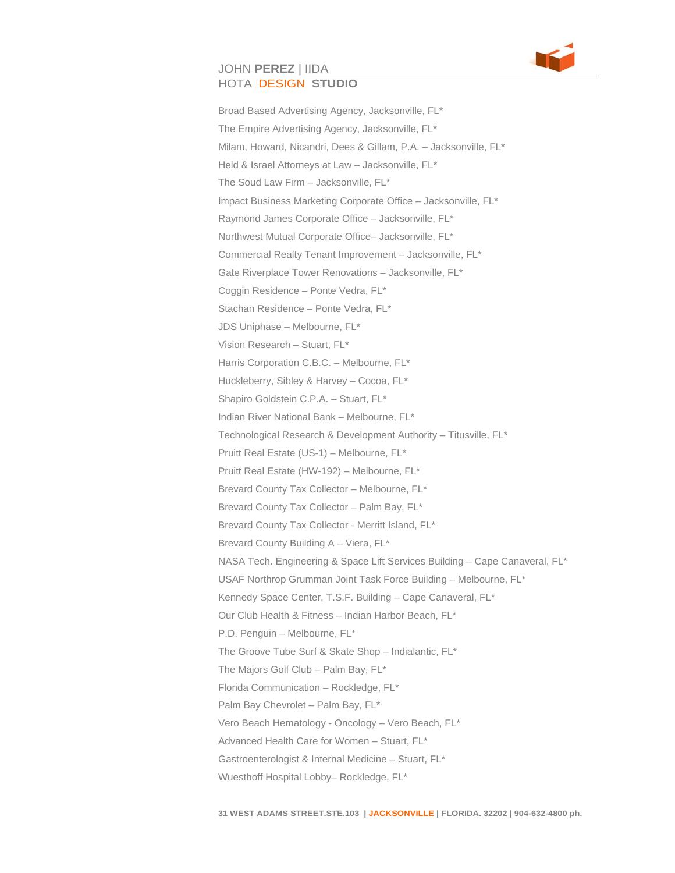

# JOHN **PEREZ** | IIDA

## HOTA DESIGN **STUDIO**

 Broad Based Advertising Agency, Jacksonville, FL\* The Empire Advertising Agency, Jacksonville, FL\* Milam, Howard, Nicandri, Dees & Gillam, P.A. – Jacksonville, FL\* Held & Israel Attorneys at Law – Jacksonville, FL\* The Soud Law Firm – Jacksonville, FL\* Impact Business Marketing Corporate Office – Jacksonville, FL\* Raymond James Corporate Office – Jacksonville, FL\* Northwest Mutual Corporate Office– Jacksonville, FL\* Commercial Realty Tenant Improvement – Jacksonville, FL\* Gate Riverplace Tower Renovations – Jacksonville, FL\* Coggin Residence – Ponte Vedra, FL\* Stachan Residence – Ponte Vedra, FL\* JDS Uniphase – Melbourne, FL\* Vision Research – Stuart, FL\* Harris Corporation C.B.C. – Melbourne, FL\* Huckleberry, Sibley & Harvey – Cocoa, FL\* Shapiro Goldstein C.P.A. – Stuart, FL\* Indian River National Bank – Melbourne, FL\* Technological Research & Development Authority – Titusville, FL\* Pruitt Real Estate (US-1) – Melbourne, FL\* Pruitt Real Estate (HW-192) – Melbourne, FL\* Brevard County Tax Collector – Melbourne, FL\* Brevard County Tax Collector – Palm Bay, FL\* Brevard County Tax Collector - Merritt Island, FL\* Brevard County Building A – Viera, FL\* NASA Tech. Engineering & Space Lift Services Building – Cape Canaveral, FL\* USAF Northrop Grumman Joint Task Force Building – Melbourne, FL\* Kennedy Space Center, T.S.F. Building – Cape Canaveral, FL\* Our Club Health & Fitness – Indian Harbor Beach, FL\* P.D. Penguin – Melbourne, FL\* The Groove Tube Surf & Skate Shop – Indialantic, FL\* The Majors Golf Club – Palm Bay, FL\* Florida Communication – Rockledge, FL\* Palm Bay Chevrolet – Palm Bay, FL\* Vero Beach Hematology - Oncology – Vero Beach, FL\* Advanced Health Care for Women – Stuart, FL\* Gastroenterologist & Internal Medicine – Stuart, FL\* Wuesthoff Hospital Lobby– Rockledge, FL\*